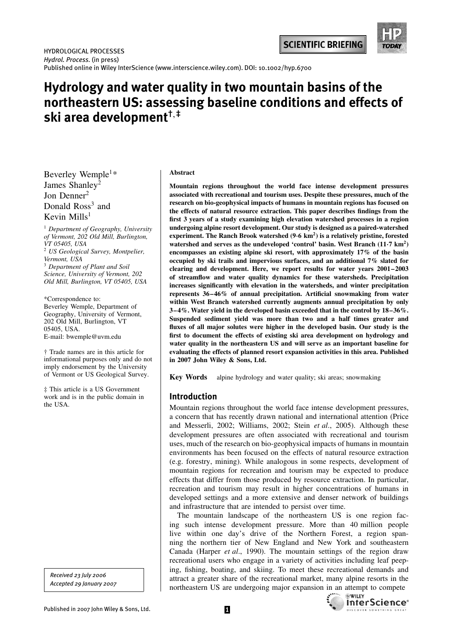

HYDROLOGICAL PROCESSES *Hydrol. Process.* (in press) Published online in Wiley InterScience (www.interscience.wiley.com). DOI: 10.1002/hyp.6700

# **Hydrology and water quality in two mountain basins of the northeastern US: assessing baseline conditions and effects of ski area development**†,‡

Beverley Wemple<sup>1\*</sup> James Shanley<sup>2</sup> Jon Denner<sup>2</sup> Donald  $Ross<sup>3</sup>$  and Kevin Mills<sup>1</sup>

<sup>1</sup> *Department of Geography, University of Vermont, 202 Old Mill, Burlington, VT 05405, USA* <sup>2</sup> *US Geological Survey, Montpelier, Vermont, USA* <sup>3</sup> *Department of Plant and Soil Science, University of Vermont, 202 Old Mill, Burlington, VT 05405, USA*

\*Correspondence to: Beverley Wemple, Department of Geography, University of Vermont, 202 Old Mill, Burlington, VT 05405, USA. E-mail: bwemple@uvm.edu

† Trade names are in this article for informational purposes only and do not imply endorsement by the University of Vermont or US Geological Survey.

‡ This article is a US Government work and is in the public domain in the USA.

*Received 23 July 2006 Accepted 29 January 2007*

#### **Abstract**

**Mountain regions throughout the world face intense development pressures associated with recreational and tourism uses. Despite these pressures, much of the research on bio-geophysical impacts of humans in mountain regions has focused on the effects of natural resource extraction. This paper describes findings from the first 3 years of a study examining high elevation watershed processes in a region undergoing alpine resort development. Our study is designed as a paired-watershed experiment. The Ranch Brook watershed (9***·***6 km2) is a relatively pristine, forested watershed and serves as the undeveloped 'control' basin. West Branch (11***·***7 km2) encompasses an existing alpine ski resort, with approximately 17% of the basin occupied by ski trails and impervious surfaces, and an additional 7% slated for clearing and development. Here, we report results for water years 2001–2003 of streamflow and water quality dynamics for these watersheds. Precipitation increases significantly with elevation in the watersheds, and winter precipitation represents 36–46% of annual precipitation. Artificial snowmaking from water within West Branch watershed currently augments annual precipitation by only 3–4%. Water yield in the developed basin exceeded that in the control by 18–36%. Suspended sediment yield was more than two and a half times greater and fluxes of all major solutes were higher in the developed basin. Our study is the first to document the effects of existing ski area development on hydrology and water quality in the northeastern US and will serve as an important baseline for evaluating the effects of planned resort expansion activities in this area. Published in 2007 John Wiley & Sons, Ltd.**

**Key Words** alpine hydrology and water quality; ski areas; snowmaking

## **Introduction**

Mountain regions throughout the world face intense development pressures, a concern that has recently drawn national and international attention (Price and Messerli, 2002; Williams, 2002; Stein *et al*., 2005). Although these development pressures are often associated with recreational and tourism uses, much of the research on bio-geophysical impacts of humans in mountain environments has been focused on the effects of natural resource extraction (e.g. forestry, mining). While analogous in some respects, development of mountain regions for recreation and tourism may be expected to produce effects that differ from those produced by resource extraction. In particular, recreation and tourism may result in higher concentrations of humans in developed settings and a more extensive and denser network of buildings and infrastructure that are intended to persist over time.

The mountain landscape of the northeastern US is one region facing such intense development pressure. More than 40 million people live within one day's drive of the Northern Forest, a region spanning the northern tier of New England and New York and southeastern Canada (Harper *et al*., 1990). The mountain settings of the region draw recreational users who engage in a variety of activities including leaf peeping, fishing, boating, and skiing. To meet these recreational demands and attract a greater share of the recreational market, many alpine resorts in the northeastern US are undergoing major expansion in an attempt to compete

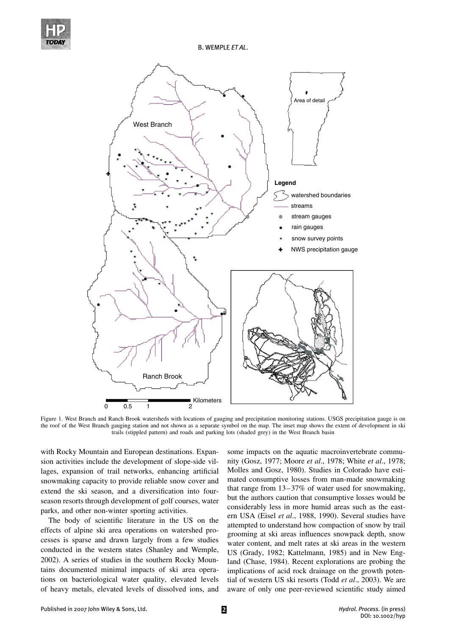



Figure 1. West Branch and Ranch Brook watersheds with locations of gauging and precipitation monitoring stations. USGS precipitation gauge is on the roof of the West Branch gauging station and not shown as a separate symbol on the map. The inset map shows the extent of development in ski trails (stippled pattern) and roads and parking lots (shaded grey) in the West Branch basin

with Rocky Mountain and European destinations. Expansion activities include the development of slope-side villages, expansion of trail networks, enhancing artificial snowmaking capacity to provide reliable snow cover and extend the ski season, and a diversification into fourseason resorts through development of golf courses, water parks, and other non-winter sporting activities.

The body of scientific literature in the US on the effects of alpine ski area operations on watershed processes is sparse and drawn largely from a few studies conducted in the western states (Shanley and Wemple, 2002). A series of studies in the southern Rocky Mountains documented minimal impacts of ski area operations on bacteriological water quality, elevated levels of heavy metals, elevated levels of dissolved ions, and

some impacts on the aquatic macroinvertebrate community (Gosz, 1977; Moore *et al*., 1978; White *et al*., 1978; Molles and Gosz, 1980). Studies in Colorado have estimated consumptive losses from man-made snowmaking that range from 13–37% of water used for snowmaking, but the authors caution that consumptive losses would be considerably less in more humid areas such as the eastern USA (Eisel *et al*., 1988, 1990). Several studies have attempted to understand how compaction of snow by trail grooming at ski areas influences snowpack depth, snow water content, and melt rates at ski areas in the western US (Grady, 1982; Kattelmann, 1985) and in New England (Chase, 1984). Recent explorations are probing the implications of acid rock drainage on the growth potential of western US ski resorts (Todd *et al*., 2003). We are aware of only one peer-reviewed scientific study aimed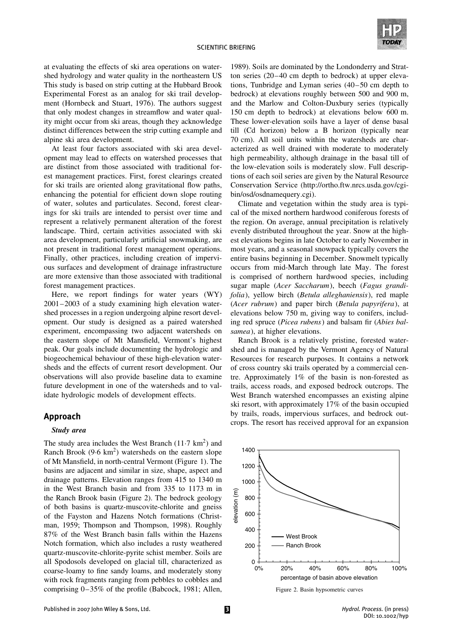

at evaluating the effects of ski area operations on watershed hydrology and water quality in the northeastern US This study is based on strip cutting at the Hubbard Brook Experimental Forest as an analog for ski trail development (Hornbeck and Stuart, 1976). The authors suggest that only modest changes in streamflow and water quality might occur from ski areas, though they acknowledge distinct differences between the strip cutting example and alpine ski area development.

At least four factors associated with ski area development may lead to effects on watershed processes that are distinct from those associated with traditional forest management practices. First, forest clearings created for ski trails are oriented along gravitational flow paths, enhancing the potential for efficient down slope routing of water, solutes and particulates. Second, forest clearings for ski trails are intended to persist over time and represent a relatively permanent alteration of the forest landscape. Third, certain activities associated with ski area development, particularly artificial snowmaking, are not present in traditional forest management operations. Finally, other practices, including creation of impervious surfaces and development of drainage infrastructure are more extensive than those associated with traditional forest management practices.

Here, we report findings for water years (WY) 2001–2003 of a study examining high elevation watershed processes in a region undergoing alpine resort development. Our study is designed as a paired watershed experiment, encompassing two adjacent watersheds on the eastern slope of Mt Mansfield, Vermont's highest peak. Our goals include documenting the hydrologic and biogeochemical behaviour of these high-elevation watersheds and the effects of current resort development. Our observations will also provide baseline data to examine future development in one of the watersheds and to validate hydrologic models of development effects.

## **Approach**

## *Study area*

The study area includes the West Branch  $(11.7 \text{ km}^2)$  and Ranch Brook  $(9.6 \text{ km}^2)$  watersheds on the eastern slope of Mt Mansfield, in north-central Vermont (Figure 1). The basins are adjacent and similar in size, shape, aspect and drainage patterns. Elevation ranges from 415 to 1340 m in the West Branch basin and from 335 to 1173 m in the Ranch Brook basin (Figure 2). The bedrock geology of both basins is quartz-muscovite-chlorite and gneiss of the Fayston and Hazens Notch formations (Christman, 1959; Thompson and Thompson, 1998). Roughly 87% of the West Branch basin falls within the Hazens Notch formation, which also includes a rusty weathered quartz-muscovite-chlorite-pyrite schist member. Soils are all Spodosols developed on glacial till, characterized as coarse-loamy to fine sandy loams, and moderately stony with rock fragments ranging from pebbles to cobbles and comprising 0–35% of the profile (Babcock, 1981; Allen,

1989). Soils are dominated by the Londonderry and Stratton series (20–40 cm depth to bedrock) at upper elevations, Tunbridge and Lyman series (40–50 cm depth to bedrock) at elevations roughly between 500 and 900 m, and the Marlow and Colton-Duxbury series (typically 150 cm depth to bedrock) at elevations below 600 m. These lower-elevation soils have a layer of dense basal till (Cd horizon) below a B horizon (typically near 70 cm). All soil units within the watersheds are characterized as well drained with moderate to moderately high permeability, although drainage in the basal till of the low-elevation soils is moderately slow. Full descriptions of each soil series are given by the Natural Resource Conservation Service (http://ortho.ftw.nrcs.usda.gov/cgibin/osd/osdnamequery.cgi).

Climate and vegetation within the study area is typical of the mixed northern hardwood coniferous forests of the region. On average, annual precipitation is relatively evenly distributed throughout the year. Snow at the highest elevations begins in late October to early November in most years, and a seasonal snowpack typically covers the entire basins beginning in December. Snowmelt typically occurs from mid-March through late May. The forest is comprised of northern hardwood species, including sugar maple (*Acer Saccharum*), beech (*Fagus grandifolia*), yellow birch (*Betula alleghaniensis*), red maple (*Acer rubrum*) and paper birch (*Betula papyrifera*), at elevations below 750 m, giving way to conifers, including red spruce (*Picea rubens*) and balsam fir (*Abies balsamea*), at higher elevations.

Ranch Brook is a relatively pristine, forested watershed and is managed by the Vermont Agency of Natural Resources for research purposes. It contains a network of cross country ski trails operated by a commercial centre. Approximately 1% of the basin is non-forested as trails, access roads, and exposed bedrock outcrops. The West Branch watershed encompasses an existing alpine ski resort, with approximately 17% of the basin occupied by trails, roads, impervious surfaces, and bedrock outcrops. The resort has received approval for an expansion



Figure 2. Basin hypsometric curves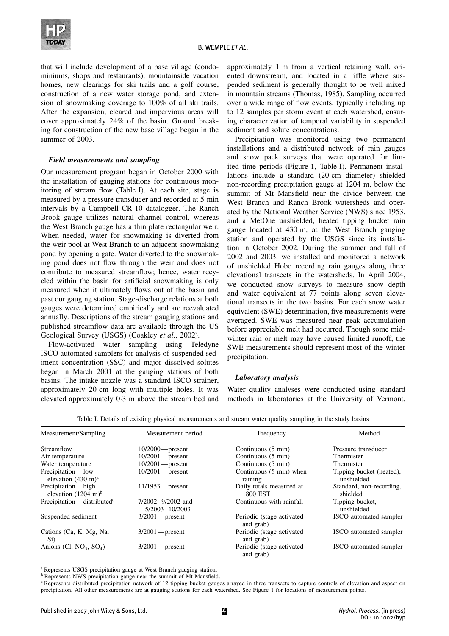

that will include development of a base village (condominiums, shops and restaurants), mountainside vacation homes, new clearings for ski trails and a golf course, construction of a new water storage pond, and extension of snowmaking coverage to 100% of all ski trails. After the expansion, cleared and impervious areas will cover approximately 24% of the basin. Ground breaking for construction of the new base village began in the summer of 2003.

## *Field measurements and sampling*

Our measurement program began in October 2000 with the installation of gauging stations for continuous monitoring of stream flow (Table I). At each site, stage is measured by a pressure transducer and recorded at 5 min intervals by a Campbell CR-10 datalogger. The Ranch Brook gauge utilizes natural channel control, whereas the West Branch gauge has a thin plate rectangular weir. When needed, water for snowmaking is diverted from the weir pool at West Branch to an adjacent snowmaking pond by opening a gate. Water diverted to the snowmaking pond does not flow through the weir and does not contribute to measured streamflow; hence, water recycled within the basin for artificial snowmaking is only measured when it ultimately flows out of the basin and past our gauging station. Stage-discharge relations at both gauges were determined empirically and are reevaluated annually. Descriptions of the stream gauging stations and published streamflow data are available through the US Geological Survey (USGS) (Coakley *et al*., 2002).

Flow-activated water sampling using Teledyne ISCO automated samplers for analysis of suspended sediment concentration (SSC) and major dissolved solutes began in March 2001 at the gauging stations of both basins. The intake nozzle was a standard ISCO strainer, approximately 20 cm long with multiple holes. It was elevated approximately 0.3 m above the stream bed and

approximately 1 m from a vertical retaining wall, oriented downstream, and located in a riffle where suspended sediment is generally thought to be well mixed in mountain streams (Thomas, 1985). Sampling occurred over a wide range of flow events, typically including up to 12 samples per storm event at each watershed, ensuring characterization of temporal variability in suspended sediment and solute concentrations.

Precipitation was monitored using two permanent installations and a distributed network of rain gauges and snow pack surveys that were operated for limited time periods (Figure 1, Table I). Permanent installations include a standard (20 cm diameter) shielded non-recording precipitation gauge at 1204 m, below the summit of Mt Mansfield near the divide between the West Branch and Ranch Brook watersheds and operated by the National Weather Service (NWS) since 1953, and a MetOne unshielded, heated tipping bucket rain gauge located at 430 m, at the West Branch gauging station and operated by the USGS since its installation in October 2002. During the summer and fall of 2002 and 2003, we installed and monitored a network of unshielded Hobo recording rain gauges along three elevational transects in the watersheds. In April 2004, we conducted snow surveys to measure snow depth and water equivalent at 77 points along seven elevational transects in the two basins. For each snow water equivalent (SWE) determination, five measurements were averaged. SWE was measured near peak accumulation before appreciable melt had occurred. Though some midwinter rain or melt may have caused limited runoff, the SWE measurements should represent most of the winter precipitation.

## *Laboratory analysis*

Water quality analyses were conducted using standard methods in laboratories at the University of Vermont.

| Table I. Details of existing physical measurements and stream water quality sampling in the study basins |  |  |  |  |
|----------------------------------------------------------------------------------------------------------|--|--|--|--|
|----------------------------------------------------------------------------------------------------------|--|--|--|--|

| Measurement/Sampling                                        | Measurement period                          | Frequency                              | Method                                 |
|-------------------------------------------------------------|---------------------------------------------|----------------------------------------|----------------------------------------|
| Streamflow                                                  | $10/2000$ - present                         | Continuous (5 min)                     | Pressure transducer                    |
| Air temperature                                             | $10/2001$ - present                         | Continuous (5 min)                     | <b>Thermister</b>                      |
| Water temperature                                           | $10/2001$ - present                         | Continuous (5 min)                     | Thermister                             |
| Precipitation-low<br>elevation $(430 \text{ m})^{\text{a}}$ | $10/2001$ - present                         | Continuous (5 min) when<br>raining     | Tipping bucket (heated),<br>unshielded |
| Precipitation—high<br>elevation $(1204 \text{ m})^b$        | $11/1953$ - present                         | Daily totals measured at<br>1800 EST   | Standard, non-recording,<br>shielded   |
| Precipitation—distributed <sup>c</sup>                      | $7/2002 - 9/2002$ and<br>$5/2003 - 10/2003$ | Continuous with rainfall               | Tipping bucket,<br>unshielded          |
| Suspended sediment                                          | $3/2001$ - present                          | Periodic (stage activated<br>and grab) | ISCO automated sampler                 |
| Cations (Ca, K, Mg, Na,<br>Si)                              | $3/2001$ - present                          | Periodic (stage activated<br>and grab) | ISCO automated sampler                 |
| Anions (Cl, $NO3$ , $SO4$ )                                 | $3/2001$ - present                          | Periodic (stage activated<br>and grab) | ISCO automated sampler                 |

<sup>a</sup> Represents USGS precipitation gauge at West Branch gauging station.<br><sup>b</sup> Represents NWS precipitation gauge near the summit of Mt Mansfield.

 $\degree$  Represents distributed precipitation network of 12 tipping bucket gauges arrayed in three transects to capture controls of elevation and aspect on precipitation. All other measurements are at gauging stations for each watershed. See Figure 1 for locations of measurement points.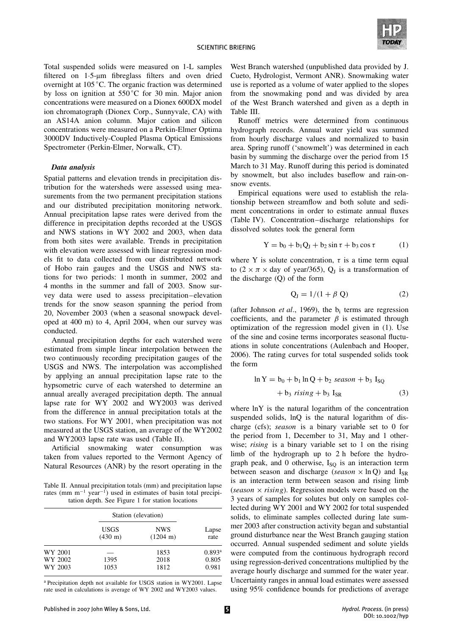

Total suspended solids were measured on 1-L samples filtered on 1.5-µm fibreglass filters and oven dried overnight at 105 °C. The organic fraction was determined by loss on ignition at 550 °C for 30 min. Major anion concentrations were measured on a Dionex 600DX model ion chromatograph (Dionex Corp., Sunnyvale, CA) with an AS14A anion column. Major cation and silicon concentrations were measured on a Perkin-Elmer Optima 3000DV Inductively-Coupled Plasma Optical Emissions Spectrometer (Perkin-Elmer, Norwalk, CT).

## *Data analysis*

Spatial patterns and elevation trends in precipitation distribution for the watersheds were assessed using measurements from the two permanent precipitation stations and our distributed precipitation monitoring network. Annual precipitation lapse rates were derived from the difference in precipitation depths recorded at the USGS and NWS stations in WY 2002 and 2003, when data from both sites were available. Trends in precipitation with elevation were assessed with linear regression models fit to data collected from our distributed network of Hobo rain gauges and the USGS and NWS stations for two periods: 1 month in summer, 2002 and 4 months in the summer and fall of 2003. Snow survey data were used to assess precipitation–elevation trends for the snow season spanning the period from 20, November 2003 (when a seasonal snowpack developed at 400 m) to 4, April 2004, when our survey was conducted.

Annual precipitation depths for each watershed were estimated from simple linear interpolation between the two continuously recording precipitation gauges of the USGS and NWS. The interpolation was accomplished by applying an annual precipitation lapse rate to the hypsometric curve of each watershed to determine an annual areally averaged precipitation depth. The annual lapse rate for WY 2002 and WY2003 was derived from the difference in annual precipitation totals at the two stations. For WY 2001, when precipitation was not measured at the USGS station, an average of the WY2002 and WY2003 lapse rate was used (Table II).

Artificial snowmaking water consumption was taken from values reported to the Vermont Agency of Natural Resources (ANR) by the resort operating in the

Table II. Annual precipitation totals (mm) and precipitation lapse rates (mm  $m^{-1}$  year<sup>-1</sup>) used in estimates of basin total precipitation depth. See Figure 1 for station locations

|         | Station (elevation)              |                                  |                      |  |
|---------|----------------------------------|----------------------------------|----------------------|--|
|         | <b>USGS</b><br>$(430 \text{ m})$ | <b>NWS</b><br>$(1204 \text{ m})$ | Lapse<br>rate        |  |
| WY 2001 |                                  | 1853                             | $0.893$ <sup>a</sup> |  |
| WY 2002 | 1395                             | 2018                             | 0.805                |  |
| WY 2003 | 1053                             | 1812                             | 0.981                |  |

<sup>a</sup> Precipitation depth not available for USGS station in WY2001. Lapse rate used in calculations is average of WY 2002 and WY2003 values.

West Branch watershed (unpublished data provided by J. Cueto, Hydrologist, Vermont ANR). Snowmaking water use is reported as a volume of water applied to the slopes from the snowmaking pond and was divided by area of the West Branch watershed and given as a depth in Table III.

Runoff metrics were determined from continuous hydrograph records. Annual water yield was summed from hourly discharge values and normalized to basin area. Spring runoff ('snowmelt') was determined in each basin by summing the discharge over the period from 15 March to 31 May. Runoff during this period is dominated by snowmelt, but also includes baseflow and rain-onsnow events.

Empirical equations were used to establish the relationship between streamflow and both solute and sediment concentrations in order to estimate annual fluxes (Table IV). Concentration–discharge relationships for dissolved solutes took the general form

$$
Y = b_0 + b_1 Q_J + b_2 \sin \tau + b_3 \cos \tau \tag{1}
$$

where Y is solute concentration,  $\tau$  is a time term equal to  $(2 \times \pi \times \text{day of year/365})$ ,  $Q_I$  is a transformation of the discharge (Q) of the form

$$
Q_J = 1/(1 + \beta Q) \tag{2}
$$

(after Johnson *et al.*, 1969), the  $b_i$  terms are regression coefficients, and the parameter  $\beta$  is estimated through optimization of the regression model given in (1). Use of the sine and cosine terms incorporates seasonal fluctuations in solute concentrations (Aulenbach and Hooper, 2006). The rating curves for total suspended solids took the form

$$
\ln Y = b_0 + b_1 \ln Q + b_2 \text{ season} + b_3 \text{ Ig}_Q
$$

$$
+ b_3 \text{ rising} + b_3 \text{ Ig}_R \tag{3}
$$

where  $lnY$  is the natural logarithm of the concentration suspended solids, lnQ is the natural logarithm of discharge (cfs); *season* is a binary variable set to 0 for the period from 1, December to 31, May and 1 otherwise; *rising* is a binary variable set to 1 on the rising limb of the hydrograph up to 2 h before the hydrograph peak, and 0 otherwise,  $I_{SQ}$  is an interaction term between season and discharge (season  $\times$  ln Q) and I<sub>SR</sub> is an interaction term between season and rising limb (season  $\times$  rising). Regression models were based on the 3 years of samples for solutes but only on samples collected during WY 2001 and WY 2002 for total suspended solids, to eliminate samples collected during late summer 2003 after construction activity began and substantial ground disturbance near the West Branch gauging station occurred. Annual suspended sediment and solute yields were computed from the continuous hydrograph record using regression-derived concentrations multiplied by the average hourly discharge and summed for the water year. Uncertainty ranges in annual load estimates were assessed using 95% confidence bounds for predictions of average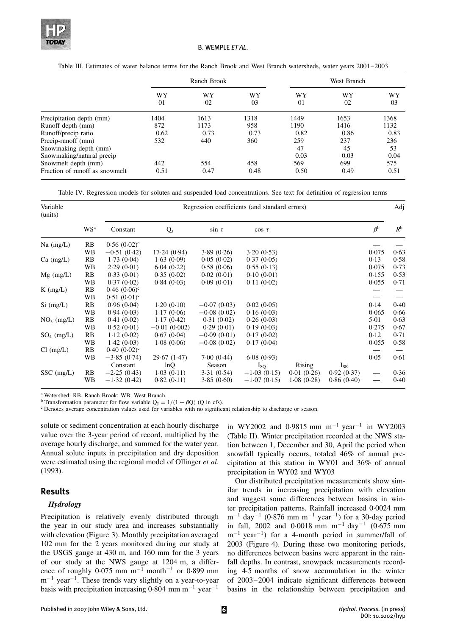

## B. WEMPLE *ET AL*.

Table III. Estimates of water balance terms for the Ranch Brook and West Branch watersheds, water years 2001–2003

|                                |          | Ranch Brook |          |          | West Branch |          |  |
|--------------------------------|----------|-------------|----------|----------|-------------|----------|--|
|                                | WY<br>01 | WY<br>02    | WY<br>03 | WY<br>01 | WY<br>02    | WY<br>03 |  |
| Precipitation depth (mm)       | 1404     | 1613        | 1318     | 1449     | 1653        | 1368     |  |
| Runoff depth (mm)              | 872      | 1173        | 958      | 1190     | 1416        | 1132     |  |
| Runoff/precip ratio            | 0.62     | 0.73        | 0.73     | 0.82     | 0.86        | 0.83     |  |
| Precip-runoff (mm)             | 532      | 440         | 360      | 259      | 237         | 236      |  |
| Snowmaking depth (mm)          |          |             |          | 47       | 45          | 53       |  |
| Snowmaking/natural precip      |          |             |          | 0.03     | 0.03        | 0.04     |  |
| Snowmelt depth (mm)            | 442      | 554         | 458      | 569      | 699         | 575      |  |
| Fraction of runoff as snowmelt | 0.51     | 0.47        | 0.48     | 0.50     | 0.49        | 0.51     |  |

Table IV. Regression models for solutes and suspended load concentrations. See text for definition of regression terms

| Variable<br>(units)      |                 | Regression coefficients (and standard errors) |                |               |               |            |            | Adj             |             |
|--------------------------|-----------------|-----------------------------------------------|----------------|---------------|---------------|------------|------------|-----------------|-------------|
|                          | WS <sup>a</sup> | Constant                                      | $Q_{J}$        | $\sin \tau$   | $\cos \tau$   |            |            | $\beta^{\rm b}$ | $R^{\rm b}$ |
| $Na$ (mg/L)              | RB              | $0.56~(0.02)^c$                               |                |               |               |            |            |                 |             |
|                          | WB              | $-0.51(0.42)$                                 | 17.24(0.94)    | 3.89(0.26)    | 3.20(0.53)    |            |            | 0.075           | 0.63        |
| $Ca \ (mg/L)$            | RB              | 1.73(0.04)                                    | 1.63(0.09)     | 0.05(0.02)    | 0.37(0.05)    |            |            | 0.13            | 0.58        |
|                          | WB              | 2.29(0.01)                                    | 6.04(0.22)     | 0.58(0.06)    | 0.55(0.13)    |            |            | 0.075           | 0.73        |
| $Mg$ (mg/L)              | <b>RB</b>       | 0.33(0.01)                                    | 0.35(0.02)     | 0.02(0.01)    | 0.10(0.01)    |            |            | 0.155           | 0.53        |
|                          | <b>WB</b>       | 0.37(0.02)                                    | 0.84(0.03)     | 0.09(0.01)    | 0.11(0.02)    |            |            | 0.055           | 0.71        |
| $K$ (mg/L)               | <b>RB</b>       | $0.46~(0.06)^c$                               |                |               |               |            |            |                 |             |
|                          | WB              | $0.51 (0.01)^c$                               |                |               |               |            |            |                 |             |
| <b>RB</b><br>$Si$ (mg/L) |                 | 0.96(0.04)                                    | 1.20(0.10)     | $-0.07(0.03)$ | 0.02(0.05)    |            |            | 0.14            | 0.40        |
|                          | WB              | 0.94(0.03)                                    | 1.17(0.06)     | $-0.08(0.02)$ | 0.16(0.03)    |            |            | 0.065           | 0.66        |
| RB<br>$NO3$ (mg/L)       |                 | 0.41(0.02)                                    | 1.17(0.42)     | 0.31(0.02)    | 0.26(0.03)    |            |            | 5.01            | 0.63        |
|                          | WB              | 0.52(0.01)                                    | $-0.01(0.002)$ | 0.29(0.01)    | 0.19(0.03)    |            |            | 0.275           | 0.67        |
| $SO_4$ (mg/L)            | RB              | 1.12(0.02)                                    | 0.67(0.04)     | $-0.09(0.01)$ | 0.17(0.02)    |            |            | 0.12            | 0.71        |
|                          | WB              | 1.42(0.03)                                    | 1.08(0.06)     | $-0.08(0.02)$ | 0.17(0.04)    |            |            | 0.055           | 0.58        |
| $Cl$ (mg/L)              | <b>RB</b>       | $0.40~(0.02)^c$                               |                |               |               |            |            |                 |             |
|                          | WB              | $-3.85(0.74)$                                 | 29.67(1.47)    | 7.00(0.44)    | 6.08(0.93)    |            |            | 0.05            | 0.61        |
|                          |                 | Constant                                      | lnQ            | Season        | $I_{SQ}$      | Rising     | $I_{SR}$   |                 |             |
| $SSC$ (mg/L)             | RB              | $-2.25(0.43)$                                 | 1.03(0.11)     | 3.31(0.54)    | $-1.03(0.15)$ | 0.01(0.26) | 0.92(0.37) |                 | 0.36        |
|                          | WB              | $-1.32(0.42)$                                 | 0.82(0.11)     | 3.85(0.60)    | $-1.07(0.15)$ | 1.08(0.28) | 0.86(0.40) | —               | 0.40        |

<sup>a</sup> Watershed: RB, Ranch Brook; WB, West Branch.

<sup>b</sup> Transformation parameter for flow variable  $Q_J = 1/(1+\beta Q)$  (Q in cfs).

<sup>c</sup> Denotes average concentration values used for variables with no significant relationship to discharge or season.

solute or sediment concentration at each hourly discharge value over the 3-year period of record, multiplied by the average hourly discharge, and summed for the water year. Annual solute inputs in precipitation and dry deposition were estimated using the regional model of Ollinger *et al*. (1993).

## **Results**

## *Hydrology*

Precipitation is relatively evenly distributed through the year in our study area and increases substantially with elevation (Figure 3). Monthly precipitation averaged 102 mm for the 2 years monitored during our study at the USGS gauge at 430 m, and 160 mm for the 3 years of our study at the NWS gauge at 1204 m, a difference of roughly  $0.075$  mm m<sup>-1</sup> month<sup>-1</sup> or 0 $899$  mm  $m^{-1}$  year<sup>-1</sup>. These trends vary slightly on a year-to-year basis with precipitation increasing 0.804 mm  $m^{-1}$  year<sup>-1</sup>

in WY2002 and 0.9815 mm  $m^{-1}$  year<sup>-1</sup> in WY2003 (Table II). Winter precipitation recorded at the NWS station between 1, December and 30, April the period when snowfall typically occurs, totaled 46% of annual precipitation at this station in WY01 and 36% of annual precipitation in WY02 and WY03

Our distributed precipitation measurements show similar trends in increasing precipitation with elevation and suggest some differences between basins in winter precipitation patterns. Rainfall increased 0.0024 mm  $m^{-1}$  day<sup>-1</sup> (0.876 mm m<sup>-1</sup> year<sup>-1</sup>) for a 30-day period in fall, 2002 and 0 $\cdot$ 0018 mm m<sup>-1</sup> day<sup>-1</sup> (0.675 mm  $m^{-1}$  year<sup>-1</sup>) for a 4-month period in summer/fall of 2003 (Figure 4). During these two monitoring periods, no differences between basins were apparent in the rainfall depths. In contrast, snowpack measurements recording 4Ð5 months of snow accumulation in the winter of 2003–2004 indicate significant differences between basins in the relationship between precipitation and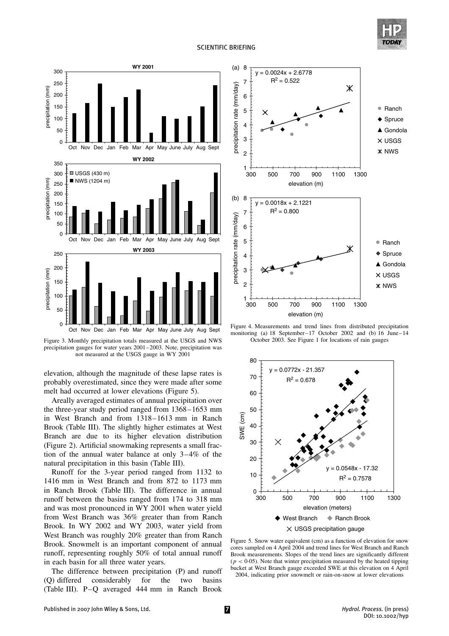

#### SCIENTIFIC BRIEFING



Figure 3. Monthly precipitation totals measured at the USGS and NWS precipitation gauges for water years 2001–2003. Note, precipitation was not measured at the USGS gauge in WY 2001

elevation, although the magnitude of these lapse rates is probably overestimated, since they were made after some melt had occurred at lower elevations (Figure 5).

Areally averaged estimates of annual precipitation over the three-year study period ranged from 1368–1653 mm in West Branch and from 1318–1613 mm in Ranch Brook (Table III). The slightly higher estimates at West Branch are due to its higher elevation distribution (Figure 2). Artificial snowmaking represents a small fraction of the annual water balance at only 3–4% of the natural precipitation in this basin (Table III).

Runoff for the 3-year period ranged from 1132 to 1416 mm in West Branch and from 872 to 1173 mm in Ranch Brook (Table III). The difference in annual runoff between the basins ranged from 174 to 318 mm and was most pronounced in WY 2001 when water yield from West Branch was 36% greater than from Ranch Brook. In WY 2002 and WY 2003, water yield from West Branch was roughly 20% greater than from Ranch Brook. Snowmelt is an important component of annual runoff, representing roughly 50% of total annual runoff in each basin for all three water years.

The difference between precipitation (P) and runoff (Q) differed considerably for the two basins (Table III). P–Q averaged 444 mm in Ranch Brook



Figure 4. Measurements and trend lines from distributed precipitation monitoring (a) 18 September–17 October 2002 and (b) 16 June–14 October 2003. See Figure 1 for locations of rain gauges



Figure 5. Snow water equivalent (cm) as a function of elevation for snow cores sampled on 4 April 2004 and trend lines for West Branch and Ranch Brook measurements. Slopes of the trend lines are significantly different ( $p < 0.05$ ). Note that winter precipitation measured by the heated tipping bucket at West Branch gauge exceeded SWE at this elevation on 4 April 2004, indicating prior snowmelt or rain-on-snow at lower elevations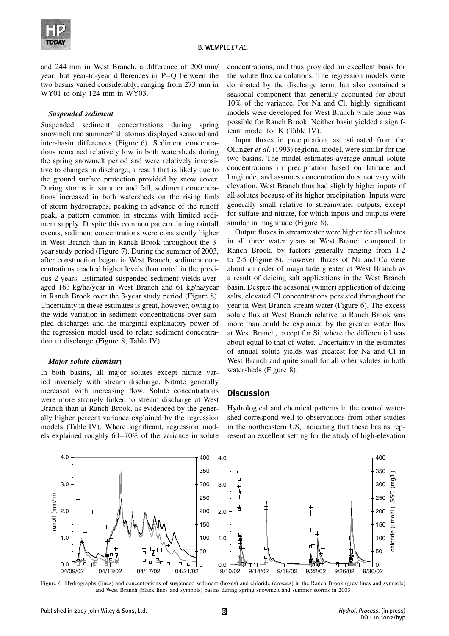

and 244 mm in West Branch, a difference of 200 mm/ year, but year-to-year differences in P–Q between the two basins varied considerably, ranging from 273 mm in WY01 to only 124 mm in WY03.

## *Suspended sediment*

Suspended sediment concentrations during spring snowmelt and summer/fall storms displayed seasonal and inter-basin differences (Figure 6). Sediment concentrations remained relatively low in both watersheds during the spring snowmelt period and were relatively insensitive to changes in discharge, a result that is likely due to the ground surface protection provided by snow cover. During storms in summer and fall, sediment concentrations increased in both watersheds on the rising limb of storm hydrographs, peaking in advance of the runoff peak, a pattern common in streams with limited sediment supply. Despite this common pattern during rainfall events, sediment concentrations were consistently higher in West Branch than in Ranch Brook throughout the 3 year study period (Figure 7). During the summer of 2003, after construction began in West Branch, sediment concentrations reached higher levels than noted in the previous 2 years. Estimated suspended sediment yields averaged 163 kg/ha/year in West Branch and 61 kg/ha/year in Ranch Brook over the 3-year study period (Figure 8). Uncertainty in these estimates is great, however, owing to the wide variation in sediment concentrations over sampled discharges and the marginal explanatory power of the regression model used to relate sediment concentration to discharge (Figure 8; Table IV).

## *Major solute chemistry*

In both basins, all major solutes except nitrate varied inversely with stream discharge. Nitrate generally increased with increasing flow. Solute concentrations were more strongly linked to stream discharge at West Branch than at Ranch Brook, as evidenced by the generally higher percent variance explained by the regression models (Table IV). Where significant, regression models explained roughly 60–70% of the variance in solute

concentrations, and thus provided an excellent basis for the solute flux calculations. The regression models were dominated by the discharge term, but also contained a seasonal component that generally accounted for about 10% of the variance. For Na and Cl, highly significant models were developed for West Branch while none was possible for Ranch Brook. Neither basin yielded a significant model for K (Table IV).

Input fluxes in precipitation, as estimated from the Ollinger *et al*. (1993) regional model, were similar for the two basins. The model estimates average annual solute concentrations in precipitation based on latitude and longitude, and assumes concentration does not vary with elevation. West Branch thus had slightly higher inputs of all solutes because of its higher precipitation. Inputs were generally small relative to streamwater outputs, except for sulfate and nitrate, for which inputs and outputs were similar in magnitude (Figure 8).

Output fluxes in streamwater were higher for all solutes in all three water years at West Branch compared to Ranch Brook, by factors generally ranging from 1.2 to 2.5 (Figure 8). However, fluxes of Na and Ca were about an order of magnitude greater at West Branch as a result of deicing salt applications in the West Branch basin. Despite the seasonal (winter) application of deicing salts, elevated Cl concentrations persisted throughout the year in West Branch stream water (Figure 6). The excess solute flux at West Branch relative to Ranch Brook was more than could be explained by the greater water flux at West Branch, except for Si, where the differential was about equal to that of water. Uncertainty in the estimates of annual solute yields was greatest for Na and Cl in West Branch and quite small for all other solutes in both watersheds (Figure 8).

## **Discussion**

Hydrological and chemical patterns in the control watershed correspond well to observations from other studies in the northeastern US, indicating that these basins represent an excellent setting for the study of high-elevation



Figure 6. Hydrographs (lines) and concentrations of suspended sediment (boxes) and chloride (crosses) in the Ranch Brook (grey lines and symbols) and West Branch (black lines and symbols) basins during spring snowmelt and summer storms in 2003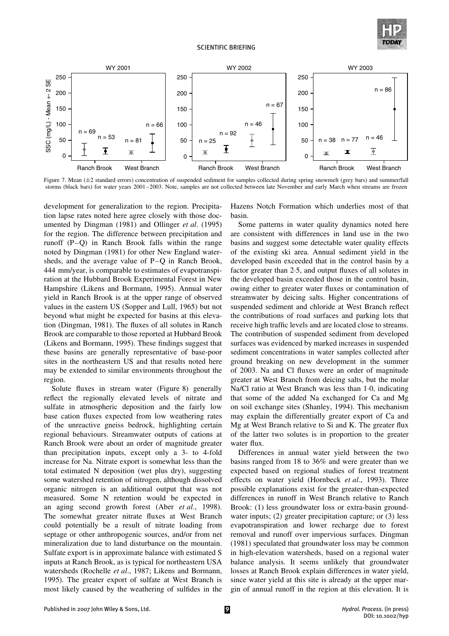#### SCIENTIFIC BRIEFING





Figure 7. Mean  $(\pm 2)$  standard errors) concentration of suspended sediment for samples collected during spring snowmelt (grey bars) and summer/fall storms (black bars) for water years 2001–2003. Note, samples are not collected between late November and early March when streams are frozen

development for generalization to the region. Precipitation lapse rates noted here agree closely with those documented by Dingman (1981) and Ollinger *et al*. (1995) for the region. The difference between precipitation and runoff (P–Q) in Ranch Brook falls within the range noted by Dingman (1981) for other New England watersheds, and the average value of P–O in Ranch Brook. 444 mm/year, is comparable to estimates of evapotranspiration at the Hubbard Brook Experimental Forest in New Hampshire (Likens and Bormann, 1995). Annual water yield in Ranch Brook is at the upper range of observed values in the eastern US (Sopper and Lull, 1965) but not beyond what might be expected for basins at this elevation (Dingman, 1981). The fluxes of all solutes in Ranch Brook are comparable to those reported at Hubbard Brook (Likens and Bormann, 1995). These findings suggest that these basins are generally representative of base-poor sites in the northeastern US and that results noted here may be extended to similar environments throughout the region.

Solute fluxes in stream water (Figure 8) generally reflect the regionally elevated levels of nitrate and sulfate in atmospheric deposition and the fairly low base cation fluxes expected from low weathering rates of the unreactive gneiss bedrock, highlighting certain regional behaviours. Streamwater outputs of cations at Ranch Brook were about an order of magnitude greater than precipitation inputs, except only a 3- to 4-fold increase for Na. Nitrate export is somewhat less than the total estimated N deposition (wet plus dry), suggesting some watershed retention of nitrogen, although dissolved organic nitrogen is an additional output that was not measured. Some N retention would be expected in an aging second growth forest (Aber *et al*., 1998). The somewhat greater nitrate fluxes at West Branch could potentially be a result of nitrate loading from septage or other anthropogenic sources, and/or from net mineralization due to land disturbance on the mountain. Sulfate export is in approximate balance with estimated S inputs at Ranch Brook, as is typical for northeastern USA watersheds (Rochelle *et al*., 1987; Likens and Bormann, 1995). The greater export of sulfate at West Branch is most likely caused by the weathering of sulfides in the Hazens Notch Formation which underlies most of that basin.

Some patterns in water quality dynamics noted here are consistent with differences in land use in the two basins and suggest some detectable water quality effects of the existing ski area. Annual sediment yield in the developed basin exceeded that in the control basin by a factor greater than 2.5, and output fluxes of all solutes in the developed basin exceeded those in the control basin, owing either to greater water fluxes or contamination of streamwater by deicing salts. Higher concentrations of suspended sediment and chloride at West Branch reflect the contributions of road surfaces and parking lots that receive high traffic levels and are located close to streams. The contribution of suspended sediment from developed surfaces was evidenced by marked increases in suspended sediment concentrations in water samples collected after ground breaking on new development in the summer of 2003. Na and Cl fluxes were an order of magnitude greater at West Branch from deicing salts, but the molar Na/Cl ratio at West Branch was less than  $1·0$ , indicating that some of the added Na exchanged for Ca and Mg on soil exchange sites (Shanley, 1994). This mechanism may explain the differentially greater export of Ca and Mg at West Branch relative to Si and K. The greater flux of the latter two solutes is in proportion to the greater water flux.

Differences in annual water yield between the two basins ranged from 18 to 36% and were greater than we expected based on regional studies of forest treatment effects on water yield (Hornbeck *et al*., 1993). Three possible explanations exist for the greater-than-expected differences in runoff in West Branch relative to Ranch Brook: (1) less groundwater loss or extra-basin groundwater inputs; (2) greater precipitation capture; or (3) less evapotranspiration and lower recharge due to forest removal and runoff over impervious surfaces. Dingman (1981) speculated that groundwater loss may be common in high-elevation watersheds, based on a regional water balance analysis. It seems unlikely that groundwater losses at Ranch Brook explain differences in water yield, since water yield at this site is already at the upper margin of annual runoff in the region at this elevation. It is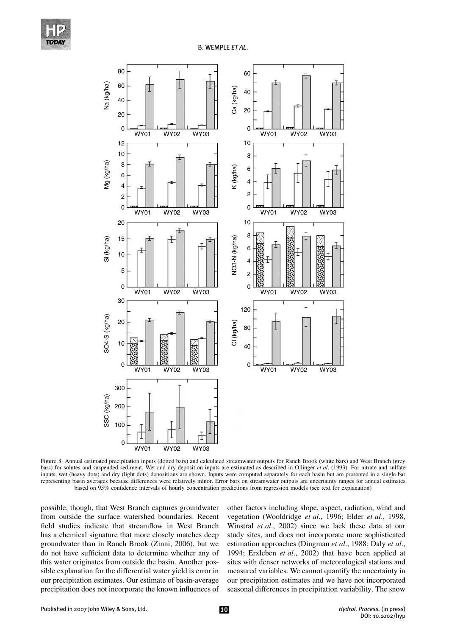



Figure 8. Annual estimated precipitation inputs (dotted bars) and calculated streamwater outputs for Ranch Brook (white bars) and West Branch (grey bars) for solutes and suspended sediment. Wet and dry deposition inputs are estimated as described in Ollinger *et al*. (1993). For nitrate and sulfate inputs, wet (heavy dots) and dry (light dots) depositions are shown. Inputs were computed separately for each basin but are presented in a single bar representing basin averages because differences were relatively minor. Error bars on streamwater outputs are uncertainty ranges for annual estimates based on 95% confidence intervals of hourly concentration predictions from regression models (see text for explanation)

possible, though, that West Branch captures groundwater from outside the surface watershed boundaries. Recent field studies indicate that streamflow in West Branch has a chemical signature that more closely matches deep groundwater than in Ranch Brook (Zinni, 2006), but we do not have sufficient data to determine whether any of this water originates from outside the basin. Another possible explanation for the differential water yield is error in our precipitation estimates. Our estimate of basin-average precipitation does not incorporate the known influences of other factors including slope, aspect, radiation, wind and vegetation (Wooldridge *et al*., 1996; Elder *et al*., 1998, Winstral *et al*., 2002) since we lack these data at our study sites, and does not incorporate more sophisticated estimation approaches (Dingman *et al*., 1988; Daly *et al*., 1994; Erxleben *et al*., 2002) that have been applied at sites with denser networks of meteorological stations and measured variables. We cannot quantify the uncertainty in our precipitation estimates and we have not incorporated seasonal differences in precipitation variability. The snow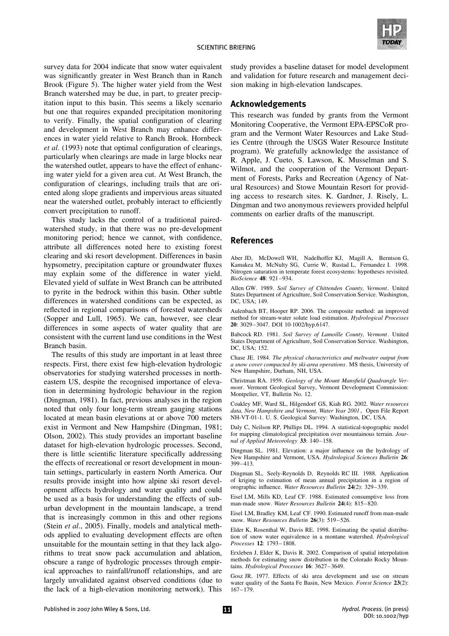

survey data for 2004 indicate that snow water equivalent was significantly greater in West Branch than in Ranch Brook (Figure 5). The higher water yield from the West Branch watershed may be due, in part, to greater precipitation input to this basin. This seems a likely scenario but one that requires expanded precipitation monitoring to verify. Finally, the spatial configuration of clearing and development in West Branch may enhance differences in water yield relative to Ranch Brook. Hornbeck *et al*. (1993) note that optimal configuration of clearings, particularly when clearings are made in large blocks near the watershed outlet, appears to have the effect of enhancing water yield for a given area cut. At West Branch, the configuration of clearings, including trails that are oriented along slope gradients and impervious areas situated near the watershed outlet, probably interact to efficiently convert precipitation to runoff.

This study lacks the control of a traditional pairedwatershed study, in that there was no pre-development monitoring period; hence we cannot, with confidence, attribute all differences noted here to existing forest clearing and ski resort development. Differences in basin hypsometry, precipitation capture or groundwater fluxes may explain some of the difference in water yield. Elevated yield of sulfate in West Branch can be attributed to pyrite in the bedrock within this basin. Other subtle differences in watershed conditions can be expected, as reflected in regional comparisons of forested watersheds (Sopper and Lull, 1965). We can, however, see clear differences in some aspects of water quality that are consistent with the current land use conditions in the West Branch basin.

The results of this study are important in at least three respects. First, there exist few high-elevation hydrologic observatories for studying watershed processes in northeastern US, despite the recognised importance of elevation in determining hydrologic behaviour in the region (Dingman, 1981). In fact, previous analyses in the region noted that only four long-term stream gauging stations located at mean basin elevations at or above 700 meters exist in Vermont and New Hampshire (Dingman, 1981; Olson, 2002). This study provides an important baseline dataset for high-elevation hydrologic processes. Second, there is little scientific literature specifically addressing the effects of recreational or resort development in mountain settings, particularly in eastern North America. Our results provide insight into how alpine ski resort development affects hydrology and water quality and could be used as a basis for understanding the effects of suburban development in the mountain landscape, a trend that is increasingly common in this and other regions (Stein *et al*., 2005). Finally, models and analytical methods applied to evaluating development effects are often unsuitable for the mountain setting in that they lack algorithms to treat snow pack accumulation and ablation, obscure a range of hydrologic processes through empirical approaches to rainfall/runoff relationships, and are largely unvalidated against observed conditions (due to the lack of a high-elevation monitoring network). This study provides a baseline dataset for model development and validation for future research and management decision making in high-elevation landscapes.

## **Acknowledgements**

This research was funded by grants from the Vermont Monitoring Cooperative, the Vermont EPA-EPSCoR program and the Vermont Water Resources and Lake Studies Centre (through the USGS Water Resource Institute program). We gratefully acknowledge the assistance of R. Apple, J. Cueto, S. Lawson, K. Musselman and S. Wilmot, and the cooperation of the Vermont Department of Forests, Parks and Recreation (Agency of Natural Resources) and Stowe Mountain Resort for providing access to research sites. K. Gardner, J. Risely, L. Dingman and two anonymous reviewers provided helpful comments on earlier drafts of the manuscript.

## **References**

Aber JD, McDowell WH, Nadelhoffer KJ, Magill A, Berntson G, Kamakea M, McNulty SG, Currie W, Rustad L, Fernandez I. 1998. Nitrogen saturation in temperate forest ecosystems: hypotheses revisited. *BioScience* **48**: 921–934.

Allen GW. 1989. *Soil Survey of Chittenden County, Vermont*. United States Department of Agriculture, Soil Conservation Service. Washington, DC, USA; 149.

Aulenbach BT, Hooper RP. 2006. The composite method: an improved method for stream-water solute load estimation. *Hydrological Processes* 20: 3029–3047. DOI 10-1002/hyp.6147.

Babcock RD. 1981. *Soil Survey of Lamoille County, Vermont*. United States Department of Agriculture, Soil Conservation Service. Washington, DC, USA; 152.

Chase JE. 1984. *The physical characteristics and meltwater output from a snow cover compacted by ski-area operations*. MS thesis, University of New Hampshire, Durham, NH, USA.

Christman RA. 1959. *Geology of the Mount Mansfield Quadrangle Vermont*. Vermont Geological Survey, Vermont Development Commission: Montpelier, VT, Bulletin No. 12.

Coakley MF, Ward SL, Hilgendorf GS, Kiah RG. 2002. *Water resources data, New Hampshire and Vermont, Water Year 2001* , Open File Report NH-VT-01-1. U. S. Geological Survey: Washington, DC, USA.

Daly C, Neilson RP, Phillips DL. 1994. A statistical-topographic model for mapping climatological precipitation over mountainous terrain. *Journal of Applied Meteorology* **33**: 140–158.

Dingman SL. 1981. Elevation: a major influence on the hydrology of New Hampshire and Vermont, USA. *Hydrological Sciences Bulletin* **26**: 399–413.

Dingman SL, Seely-Reynolds D, Reynolds RC III. 1988. Application of kriging to estimation of mean annual precipitation in a region of orographic influence. *Water Resources Bulletin* **24**(2): 329–339.

Eisel LM, Mills KD, Leaf CF. 1988. Estimated consumptive loss from man-made snow. *Water Resources Bulletin* **24**(4): 815–820.

Eisel LM, Bradley KM, Leaf CF. 1990. Estimated runoff from man-made snow. *Water Resources Bulletin* **26**(3): 519–526.

Elder K, Rosenthal W, Davis RE. 1998. Estimating the spatial distribution of snow water equivalence in a montane watershed. *Hydrological Processes* **12**: 1793–1808.

Erxleben J, Elder K, Davis R. 2002. Comparison of spatial interpolation methods for estimating snow distribution in the Colorado Rocky Mountains. *Hydrological Processes* **16**: 3627–3649.

Gosz JR. 1977. Effects of ski area development and use on stream water quality of the Santa Fe Basin, New Mexico. *Forest Science* **23**(2):  $167 - 179.$